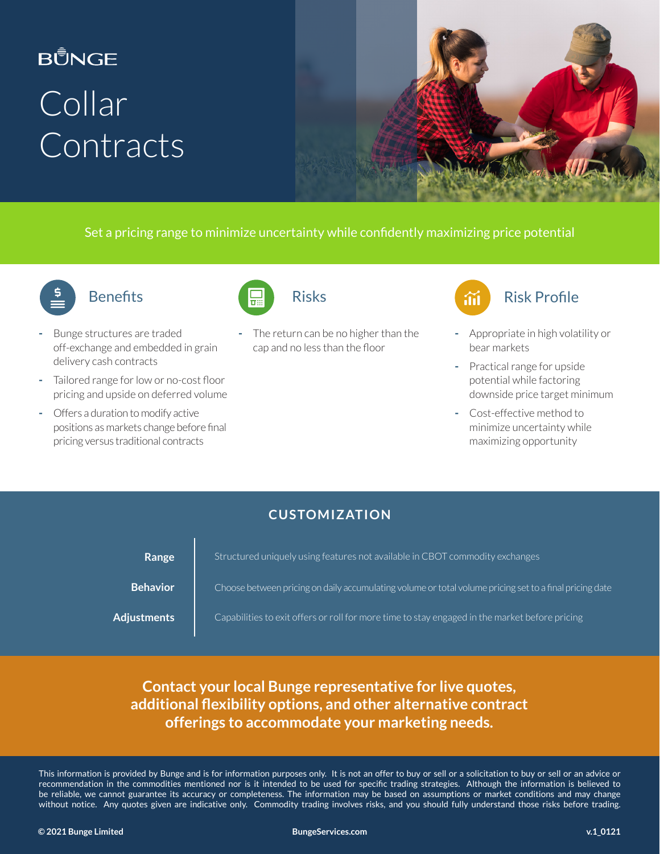# **BŮNGE** Collar **Contracts**



Set a pricing range to minimize uncertainty while confidently maximizing price potential



#### **Benefits**

- Bunge structures are traded off-exchange and embedded in grain delivery cash contracts
- Tailored range for low or no-cost floor pricing and upside on deferred volume
- Offers a duration to modify active positions as markets change before final pricing versus traditional contracts



The return can be no higher than the cap and no less than the floor



- Appropriate in high volatility or bear markets
- Practical range for upside potential while factoring downside price target minimum
- Cost-effective method to minimize uncertainty while maximizing opportunity

#### **CUSTOMIZATION**

| Range              | Structured uniquely using features not available in CBOT commodity exchanges                            |
|--------------------|---------------------------------------------------------------------------------------------------------|
| <b>Behavior</b>    | Choose between pricing on daily accumulating volume or total volume pricing set to a final pricing date |
| <b>Adjustments</b> | Capabilities to exit offers or roll for more time to stay engaged in the market before pricing          |

**Contact your local Bunge representative for live quotes, additional flexibility options, and other alternative contract offerings to accommodate your marketing needs.**

This information is provided by Bunge and is for information purposes only. It is not an offer to buy or sell or a solicitation to buy or sell or an advice or recommendation in the commodities mentioned nor is it intended to be used for specific trading strategies. Although the information is believed to be reliable, we cannot guarantee its accuracy or completeness. The information may be based on assumptions or market conditions and may change without notice. Any quotes given are indicative only. Commodity trading involves risks, and you should fully understand those risks before trading.